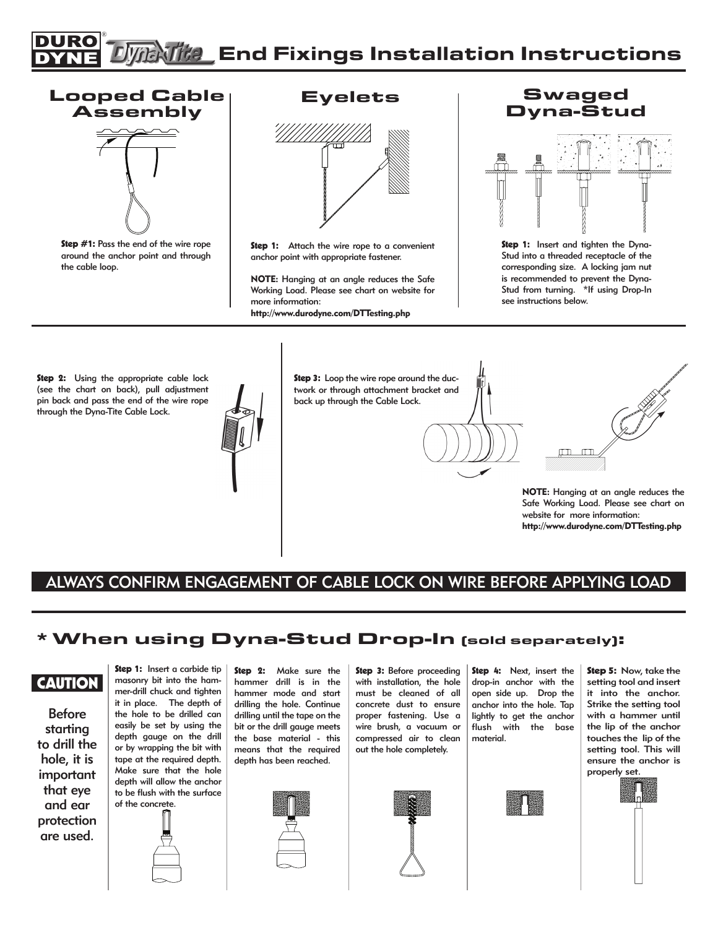#### ®  $\widehat{E}$   $\widehat{H}$  End Fixings Installation Instructions

## Looped Cable Assembly



Step #1: Pass the end of the wire rope around the anchor point and through the cable loop.

Eyelets



Step 1: Attach the wire rope to a convenient anchor point with appropriate fastener.

NOTE: Hanging at an angle reduces the Safe Working Load. Please see chart on website for more information:

http://www.durodyne.com/DTTesting.php

#### **Swaged** Dyna-Stud



Step 1: Insert and tighten the Dyna-Stud into a threaded receptacle of the corresponding size. A locking jam nut is recommended to prevent the Dyna-Stud from turning. \*If using Drop-In see instructions below.

Step 2: Using the appropriate cable lock (see the chart on back), pull adjustment pin back and pass the end of the wire rope through the Dyna-Tite Cable Lock.



Step 3: Loop the wire rope around the ductwork or through attachment bracket and back up through the Cable Lock.



### ALWAYS CONFIRM ENGAGEMENT OF CABLE LOCK ON WIRE BEFORE APPLYING LOAD

#### \*When using Dyna-Stud Drop-In (sold separately):

**CAUTION** 

Before starting to drill the hole, it is important that eye and ear protection are used.

Step 1: Insert a carbide tip masonry bit into the hammer-drill chuck and tighten it in place. The depth of the hole to be drilled can easily be set by using the depth gauge on the drill or by wrapping the bit with tape at the required depth. Make sure that the hole depth will allow the anchor to be flush with the surface of the concrete.



Step 2: Make sure the hammer drill is in the hammer mode and start drilling the hole. Continue drilling until the tape on the bit or the drill gauge meets the base material - this means that the required depth has been reached.



Step 3: Before proceeding with installation, the hole must be cleaned of all concrete dust to ensure proper fastening. Use a wire brush, a vacuum or compressed air to clean out the hole completely.



Step 4: Next, insert the drop-in anchor with the open side up. Drop the anchor into the hole. Tap lightly to get the anchor flush with the base material.



Step 5: Now, take the setting tool and insert it into the anchor. Strike the setting tool with a hammer until the lip of the anchor touches the lip of the setting tool. This will ensure the anchor is properly set.